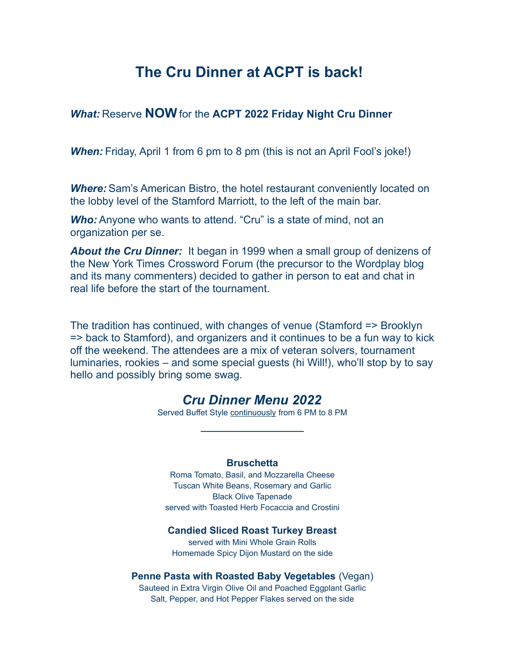# **The Cru Dinner at ACPT is back!**

### *What:* Reserve **NOW** for the **ACPT 2022 Friday Night Cru Dinner**

**When:** Friday, April 1 from 6 pm to 8 pm (this is not an April Fool's joke!)

**Where:** Sam's American Bistro, the hotel restaurant conveniently located on the lobby level of the Stamford Marriott, to the left of the main bar.

**Who:** Anyone who wants to attend. "Cru" is a state of mind, not an organization per se.

*About the Cru Dinner:* It began in 1999 when a small group of denizens of the New York Times Crossword Forum (the precursor to the Wordplay blog and its many commenters) decided to gather in person to eat and chat in real life before the start of the tournament.

The tradition has continued, with changes of venue (Stamford => Brooklyn => back to Stamford), and organizers and it continues to be a fun way to kick off the weekend. The attendees are a mix of veteran solvers, tournament luminaries, rookies – and some special guests (hi Will!), who'll stop by to say hello and possibly bring some swag.

# *Cru Dinner Menu 2022*

Served Buffet Style continuously from 6 PM to 8 PM  $\overline{\phantom{a}}$  , where  $\overline{\phantom{a}}$ 

### **Bruschetta**

Roma Tomato, Basil, and Mozzarella Cheese Tuscan White Beans, Rosemary and Garlic Black Olive Tapenade served with Toasted Herb Focaccia and Crostini

#### **Candied Sliced Roast Turkey Breast**

served with Mini Whole Grain Rolls Homemade Spicy Dijon Mustard on the side

### **Penne Pasta with Roasted Baby Vegetables** (Vegan)

Sauteed in Extra Virgin Olive Oil and Poached Eggplant Garlic Salt, Pepper, and Hot Pepper Flakes served on the side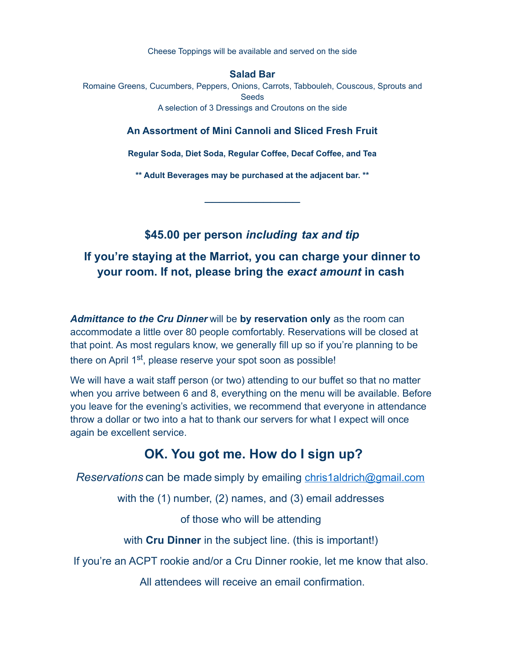Cheese Toppings will be available and served on the side

#### **Salad Bar**

Romaine Greens, Cucumbers, Peppers, Onions, Carrots, Tabbouleh, Couscous, Sprouts and Seeds A selection of 3 Dressings and Croutons on the side

### **An Assortment of Mini Cannoli and Sliced Fresh Fruit**

**Regular Soda, Diet Soda, Regular Coffee, Decaf Coffee, and Tea**

**\*\* Adult Beverages may be purchased at the adjacent bar. \*\***

 $\overline{\phantom{a}}$  . The set of the set of the set of the set of the set of the set of the set of the set of the set of the set of the set of the set of the set of the set of the set of the set of the set of the set of the set o

**\$45.00 per person** *including tax and tip*

# **If you're staying at the Marriot, you can charge your dinner to your room. If not, please bring the** *exact amount* **in cash**

*Admittance to the Cru Dinner* will be **by reservation only** as the room can accommodate a little over 80 people comfortably. Reservations will be closed at that point. As most regulars know, we generally fill up so if you're planning to be there on April 1<sup>st</sup>, please reserve your spot soon as possible!

We will have a wait staff person (or two) attending to our buffet so that no matter when you arrive between 6 and 8, everything on the menu will be available. Before you leave for the evening's activities, we recommend that everyone in attendance throw a dollar or two into a hat to thank our servers for what I expect will once again be excellent service.

# **OK. You got me. How do I sign up?**

*Reservations* can be made simply by emailing [chris1aldrich@gmail.com](mailto:chris1aldrich@gmail.com?subject=CRU%20Dinner)

with the (1) number, (2) names, and (3) email addresses

of those who will be attending

with **Cru Dinner** in the subject line. (this is important!)

If you're an ACPT rookie and/or a Cru Dinner rookie, let me know that also.

All attendees will receive an email confirmation.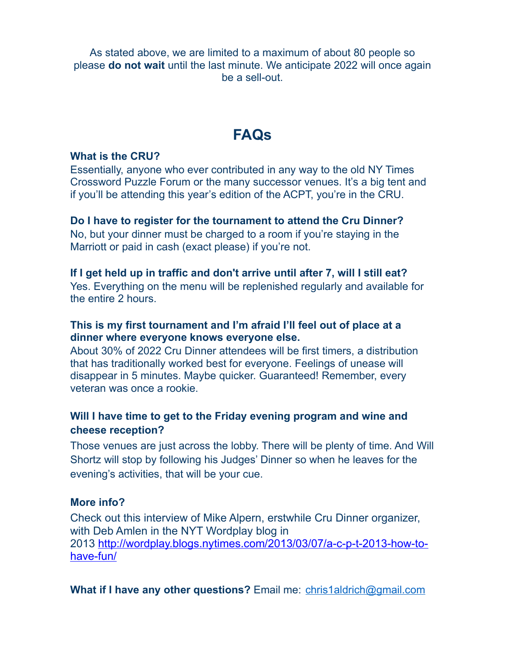As stated above, we are limited to a maximum of about 80 people so please **do not wait** until the last minute. We anticipate 2022 will once again be a sell-out.

# **FAQs**

# **What is the CRU?**

Essentially, anyone who ever contributed in any way to the old NY Times Crossword Puzzle Forum or the many successor venues. It's a big tent and if you'll be attending this year's edition of the ACPT, you're in the CRU.

# **Do I have to register for the tournament to attend the Cru Dinner?**

No, but your dinner must be charged to a room if you're staying in the Marriott or paid in cash (exact please) if you're not.

### **If I get held up in traffic and don't arrive until after 7, will I still eat?**

Yes. Everything on the menu will be replenished regularly and available for the entire 2 hours.

# **This is my first tournament and I'm afraid I'll feel out of place at a dinner where everyone knows everyone else.**

About 30% of 2022 Cru Dinner attendees will be first timers, a distribution that has traditionally worked best for everyone. Feelings of unease will disappear in 5 minutes. Maybe quicker. Guaranteed! Remember, every veteran was once a rookie.

# **Will I have time to get to the Friday evening program and wine and cheese reception?**

Those venues are just across the lobby. There will be plenty of time. And Will Shortz will stop by following his Judges' Dinner so when he leaves for the evening's activities, that will be your cue.

### **More info?**

Check out this interview of Mike Alpern, erstwhile Cru Dinner organizer, with Deb Amlen in the NYT Wordplay blog in 2013 [http://wordplay.blogs.nytimes.com/2013/03/07/a-c-p-t-2013-how-to](http://wordplay.blogs.nytimes.com/2013/03/07/a-c-p-t-2013-how-to-have-fun/)[have-fun/](http://wordplay.blogs.nytimes.com/2013/03/07/a-c-p-t-2013-how-to-have-fun/)

**What if I have any other questions?** Email me: [chris1aldrich@gmail.com](mailto:chris1aldrich@gmail.com?subject=CRU%20Dinner)